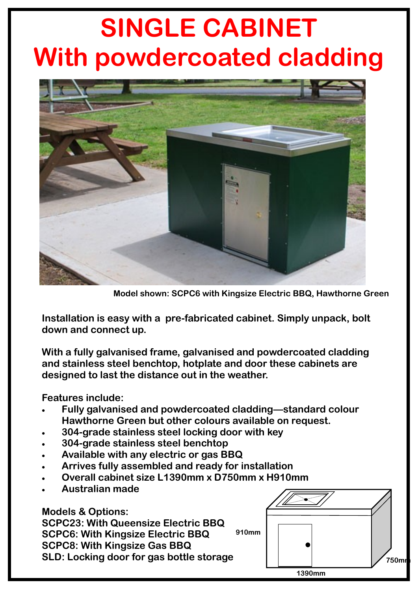## **SINGLE CABINET With powdercoated cladding**



**Model shown: SCPC6 with Kingsize Electric BBQ, Hawthorne Green**

**Installation is easy with a pre-fabricated cabinet. Simply unpack, bolt down and connect up.** 

**With a fully galvanised frame, galvanised and powdercoated cladding and stainless steel benchtop, hotplate and door these cabinets are designed to last the distance out in the weather.** 

**Features include:**

- **Fully galvanised and powdercoated cladding—standard colour Hawthorne Green but other colours available on request.**
- **304-grade stainless steel locking door with key**
- **304-grade stainless steel benchtop**
- **Available with any electric or gas BBQ**
- **Arrives fully assembled and ready for installation**
- **Overall cabinet size L1390mm x D750mm x H910mm**
- **Australian made**

**Models & Options: SCPC23: With Queensize Electric BBQ SCPC6: With Kingsize Electric BBQ SCPC8: With Kingsize Gas BBQ SLD: Locking door for gas bottle storage 910mm**